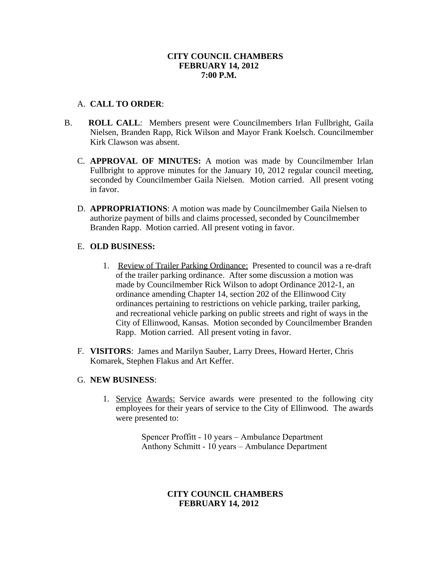# **CITY COUNCIL CHAMBERS FEBRUARY 14, 2012 7:00 P.M.**

## A. **CALL TO ORDER**:

- B. **ROLL CALL**: Members present were Councilmembers Irlan Fullbright, Gaila Nielsen, Branden Rapp, Rick Wilson and Mayor Frank Koelsch. Councilmember Kirk Clawson was absent.
	- C. **APPROVAL OF MINUTES:** A motion was made by Councilmember Irlan Fullbright to approve minutes for the January 10, 2012 regular council meeting, seconded by Councilmember Gaila Nielsen. Motion carried. All present voting in favor.
	- D. **APPROPRIATIONS**: A motion was made by Councilmember Gaila Nielsen to authorize payment of bills and claims processed, seconded by Councilmember Branden Rapp. Motion carried. All present voting in favor.

# E. **OLD BUSINESS:**

- 1. Review of Trailer Parking Ordinance: Presented to council was a re-draft of the trailer parking ordinance. After some discussion a motion was made by Councilmember Rick Wilson to adopt Ordinance 2012-1, an ordinance amending Chapter 14, section 202 of the Ellinwood City ordinances pertaining to restrictions on vehicle parking, trailer parking, and recreational vehicle parking on public streets and right of ways in the City of Ellinwood, Kansas. Motion seconded by Councilmember Branden Rapp. Motion carried. All present voting in favor.
- F. **VISITORS**: James and Marilyn Sauber, Larry Drees, Howard Herter, Chris Komarek, Stephen Flakus and Art Keffer.

#### G. **NEW BUSINESS**:

1. Service Awards: Service awards were presented to the following city employees for their years of service to the City of Ellinwood. The awards were presented to:

> Spencer Proffitt - 10 years – Ambulance Department Anthony Schmitt - 10 years – Ambulance Department

# **CITY COUNCIL CHAMBERS FEBRUARY 14, 2012**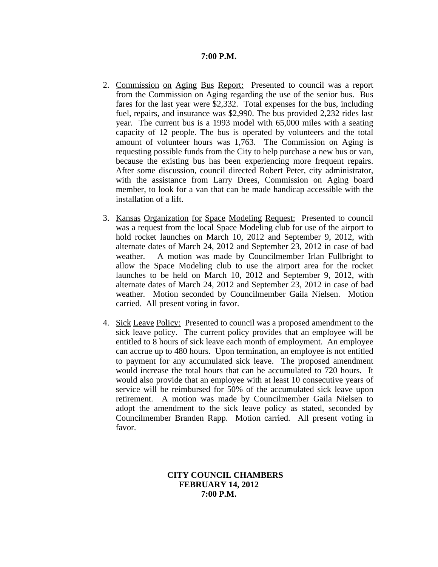#### **7:00 P.M.**

- 2. Commission on Aging Bus Report: Presented to council was a report from the Commission on Aging regarding the use of the senior bus. Bus fares for the last year were \$2,332. Total expenses for the bus, including fuel, repairs, and insurance was \$2,990. The bus provided 2,232 rides last year. The current bus is a 1993 model with 65,000 miles with a seating capacity of 12 people. The bus is operated by volunteers and the total amount of volunteer hours was 1,763. The Commission on Aging is requesting possible funds from the City to help purchase a new bus or van, because the existing bus has been experiencing more frequent repairs. After some discussion, council directed Robert Peter, city administrator, with the assistance from Larry Drees, Commission on Aging board member, to look for a van that can be made handicap accessible with the installation of a lift.
- 3. Kansas Organization for Space Modeling Request: Presented to council was a request from the local Space Modeling club for use of the airport to hold rocket launches on March 10, 2012 and September 9, 2012, with alternate dates of March 24, 2012 and September 23, 2012 in case of bad weather. A motion was made by Councilmember Irlan Fullbright to allow the Space Modeling club to use the airport area for the rocket launches to be held on March 10, 2012 and September 9, 2012, with alternate dates of March 24, 2012 and September 23, 2012 in case of bad weather. Motion seconded by Councilmember Gaila Nielsen. Motion carried. All present voting in favor.
- 4. Sick Leave Policy: Presented to council was a proposed amendment to the sick leave policy. The current policy provides that an employee will be entitled to 8 hours of sick leave each month of employment. An employee can accrue up to 480 hours. Upon termination, an employee is not entitled to payment for any accumulated sick leave. The proposed amendment would increase the total hours that can be accumulated to 720 hours. It would also provide that an employee with at least 10 consecutive years of service will be reimbursed for 50% of the accumulated sick leave upon retirement. A motion was made by Councilmember Gaila Nielsen to adopt the amendment to the sick leave policy as stated, seconded by Councilmember Branden Rapp. Motion carried. All present voting in favor.

#### **CITY COUNCIL CHAMBERS FEBRUARY 14, 2012 7:00 P.M.**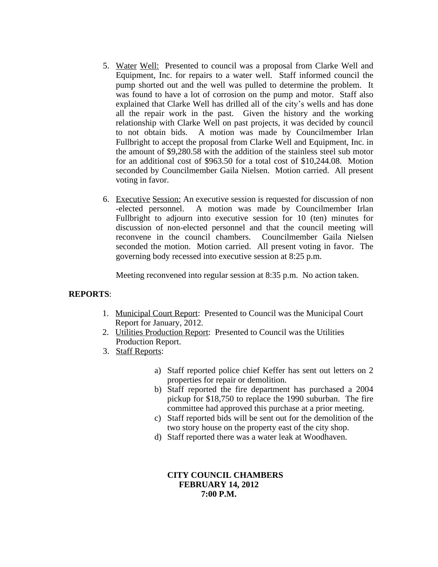- 5. Water Well: Presented to council was a proposal from Clarke Well and Equipment, Inc. for repairs to a water well. Staff informed council the pump shorted out and the well was pulled to determine the problem. It was found to have a lot of corrosion on the pump and motor. Staff also explained that Clarke Well has drilled all of the city's wells and has done all the repair work in the past. Given the history and the working relationship with Clarke Well on past projects, it was decided by council to not obtain bids. A motion was made by Councilmember Irlan Fullbright to accept the proposal from Clarke Well and Equipment, Inc. in the amount of \$9,280.58 with the addition of the stainless steel sub motor for an additional cost of \$963.50 for a total cost of \$10,244.08. Motion seconded by Councilmember Gaila Nielsen. Motion carried. All present voting in favor.
- 6. Executive Session: An executive session is requested for discussion of non -elected personnel. A motion was made by Councilmember Irlan Fullbright to adjourn into executive session for 10 (ten) minutes for discussion of non-elected personnel and that the council meeting will reconvene in the council chambers. Councilmember Gaila Nielsen seconded the motion. Motion carried. All present voting in favor. The governing body recessed into executive session at 8:25 p.m.

Meeting reconvened into regular session at 8:35 p.m. No action taken.

# **REPORTS**:

- 1. Municipal Court Report: Presented to Council was the Municipal Court Report for January, 2012.
- 2. Utilities Production Report: Presented to Council was the Utilities Production Report.
- 3. Staff Reports:
	- a) Staff reported police chief Keffer has sent out letters on 2 properties for repair or demolition.
	- b) Staff reported the fire department has purchased a 2004 pickup for \$18,750 to replace the 1990 suburban. The fire committee had approved this purchase at a prior meeting.
	- c) Staff reported bids will be sent out for the demolition of the two story house on the property east of the city shop.
	- d) Staff reported there was a water leak at Woodhaven.

### **CITY COUNCIL CHAMBERS FEBRUARY 14, 2012 7:00 P.M.**